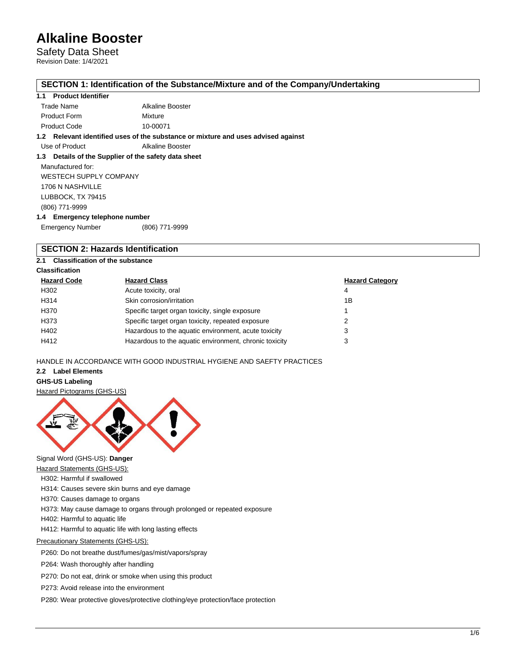Safety Data Sheet Revision Date: 1/4/2021

### **SECTION 1: Identification of the Substance/Mixture and of the Company/Undertaking**

#### **1.1 Product Identifier**

| Trade Name          | Alkaline Booster |
|---------------------|------------------|
| <b>Product Form</b> | Mixture          |
| Product Code        | 10-00071         |

**1.2 Relevant identified uses of the substance or mixture and uses advised against**

Use of Product Alkaline Booster

## **1.3 Details of the Supplier of the safety data sheet**

Manufactured for: WESTECH SUPPLY COMPANY 1706 N NASHVILLE LUBBOCK, TX 79415 (806) 771-9999 **1.4 Emergency telephone number**

| - - -                   |                |
|-------------------------|----------------|
| <b>Emergency Number</b> | (806) 771-9999 |

# **SECTION 2: Hazards Identification**

# **2.1 Classification of the substance**

| <b>Classification</b> |                                                        |                        |
|-----------------------|--------------------------------------------------------|------------------------|
| <b>Hazard Code</b>    | <b>Hazard Class</b>                                    | <b>Hazard Category</b> |
| H302                  | Acute toxicity, oral                                   | 4                      |
| H314                  | Skin corrosion/irritation                              | 1Β                     |
| H370                  | Specific target organ toxicity, single exposure        |                        |
| H373                  | Specific target organ toxicity, repeated exposure      | 2                      |
| H402                  | Hazardous to the aquatic environment, acute toxicity   | 3                      |
| H412                  | Hazardous to the aquatic environment, chronic toxicity | 3                      |

HANDLE IN ACCORDANCE WITH GOOD INDUSTRIAL HYGIENE AND SAEFTY PRACTICES

## **2.2 Label Elements**

**GHS-US Labeling**

Hazard Pictograms (GHS-US)



Signal Word (GHS-US): **Danger**

- Hazard Statements (GHS-US):
- H302: Harmful if swallowed

H314: Causes severe skin burns and eye damage

H370: Causes damage to organs

H373: May cause damage to organs through prolonged or repeated exposure

H402: Harmful to aquatic life

H412: Harmful to aquatic life with long lasting effects

Precautionary Statements (GHS-US):

P260: Do not breathe dust/fumes/gas/mist/vapors/spray

P264: Wash thoroughly after handling

P270: Do not eat, drink or smoke when using this product

P273: Avoid release into the environment

P280: Wear protective gloves/protective clothing/eye protection/face protection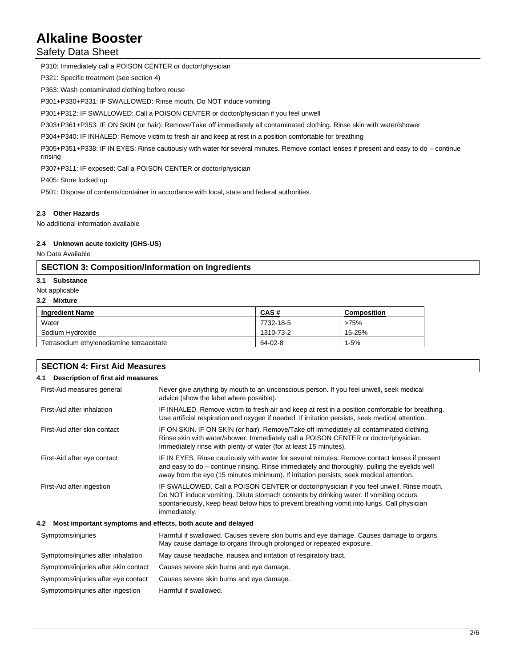# Safety Data Sheet

P310: Immediately call a POISON CENTER or doctor/physician

P321: Specific treatment (see section 4)

P363: Wash contaminated clothing before reuse

P301+P330+P331: IF SWALLOWED: Rinse mouth. Do NOT induce vomiting

P301+P312: IF SWALLOWED: Call a POISON CENTER or doctor/physician if you feel unwell

P303+P361+P353: IF ON SKIN (or hair): Remove/Take off immediately all contaminated clothing. Rinse skin with water/shower

P304+P340: IF INHALED: Remove victim to fresh air and keep at rest in a position comfortable for breathing

P305+P351+P338: IF IN EYES: Rinse cautiously with water for several minutes. Remove contact lenses if present and easy to do – continue rinsing

P307+P311: IF exposed: Call a POISON CENTER or doctor/physician

P405: Store locked up

P501: Dispose of contents/container in accordance with local, state and federal authorities.

#### **2.3 Other Hazards**

No additional information available

#### **2.4 Unknown acute toxicity (GHS-US)**

No Data Available

## **SECTION 3: Composition/Information on Ingredients**

#### **3.1 Substance**

- Not applicable
- **3.2 Mixture**

| <b>Ingredient Name</b>                   | CAS#      | Composition |
|------------------------------------------|-----------|-------------|
| Water                                    | 7732-18-5 | >75%        |
| Sodium Hvdroxide                         | 1310-73-2 | 15-25%      |
| Tetrasodium ethvlenediamine tetraacetate | 64-02-8   | $1-5%$      |

| <b>SECTION 4: First Aid Measures</b> |                                                                                                                                                                                                                                                                                               |  |  |  |  |
|--------------------------------------|-----------------------------------------------------------------------------------------------------------------------------------------------------------------------------------------------------------------------------------------------------------------------------------------------|--|--|--|--|
| 4.1                                  | Description of first aid measures                                                                                                                                                                                                                                                             |  |  |  |  |
| First-Aid measures general           | Never give anything by mouth to an unconscious person. If you feel unwell, seek medical<br>advice (show the label where possible).                                                                                                                                                            |  |  |  |  |
| First-Aid after inhalation           | IF INHALED. Remove victim to fresh air and keep at rest in a position comfortable for breathing.<br>Use artificial respiration and oxygen if needed. If irritation persists, seek medical attention.                                                                                          |  |  |  |  |
| First-Aid after skin contact         | IF ON SKIN. IF ON SKIN (or hair). Remove/Take off immediately all contaminated clothing.<br>Rinse skin with water/shower. Immediately call a POISON CENTER or doctor/physician.<br>Immediately rinse with plenty of water (for at least 15 minutes).                                          |  |  |  |  |
| First-Aid after eye contact          | IF IN EYES. Rinse cautiously with water for several minutes. Remove contact lenses if present<br>and easy to do – continue rinsing. Rinse immediately and thoroughly, pulling the eyelids well<br>away from the eye (15 minutes minimum). If irritation persists, seek medical attention.     |  |  |  |  |
| First-Aid after ingestion            | IF SWALLOWED. Call a POISON CENTER or doctor/physician if you feel unwell. Rinse mouth.<br>Do NOT induce vomiting. Dilute stomach contents by drinking water. If vomiting occurs<br>spontaneously, keep head below hips to prevent breathing vomit into lungs. Call physician<br>immediately. |  |  |  |  |
| 4.2                                  | Most important symptoms and effects, both acute and delayed                                                                                                                                                                                                                                   |  |  |  |  |
| Symptoms/injuries                    | Harmful if swallowed. Causes severe skin burns and eye damage. Causes damage to organs.<br>May cause damage to organs through prolonged or repeated exposure.                                                                                                                                 |  |  |  |  |
| Symptoms/injuries after inhalation   | May cause headache, nausea and irritation of respiratory tract.                                                                                                                                                                                                                               |  |  |  |  |
| Symptoms/injuries after skin contact | Causes severe skin burns and eye damage.                                                                                                                                                                                                                                                      |  |  |  |  |
| Symptoms/injuries after eye contact  | Causes severe skin burns and eye damage.                                                                                                                                                                                                                                                      |  |  |  |  |

Symptoms/injuries after ingestion Harmful if swallowed.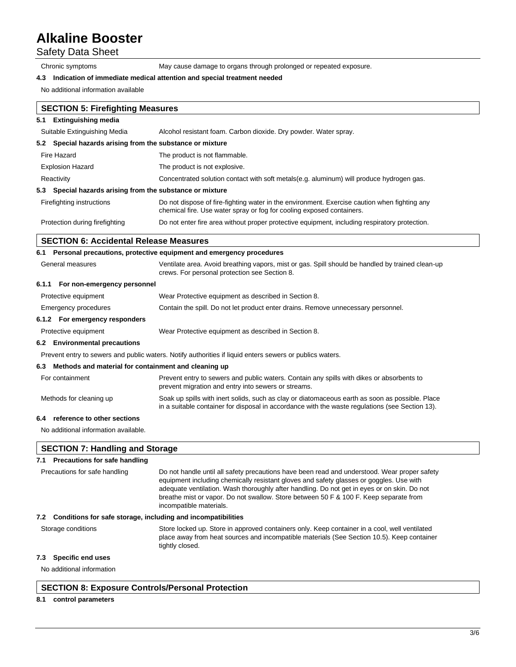Safety Data Sheet

Chronic symptoms May cause damage to organs through prolonged or repeated exposure.

#### **4.3 Indication of immediate medical attention and special treatment needed**

No additional information available

|     | <b>SECTION 5: Firefighting Measures</b>                                                                 |                                                                                                                                                                       |  |  |
|-----|---------------------------------------------------------------------------------------------------------|-----------------------------------------------------------------------------------------------------------------------------------------------------------------------|--|--|
| 5.1 | <b>Extinguishing media</b>                                                                              |                                                                                                                                                                       |  |  |
|     | Suitable Extinguishing Media                                                                            | Alcohol resistant foam. Carbon dioxide. Dry powder. Water spray.                                                                                                      |  |  |
|     | 5.2 Special hazards arising from the substance or mixture                                               |                                                                                                                                                                       |  |  |
|     | Fire Hazard                                                                                             | The product is not flammable.                                                                                                                                         |  |  |
|     | <b>Explosion Hazard</b>                                                                                 | The product is not explosive.                                                                                                                                         |  |  |
|     | Concentrated solution contact with soft metals (e.g. aluminum) will produce hydrogen gas.<br>Reactivity |                                                                                                                                                                       |  |  |
|     | 5.3 Special hazards arising from the substance or mixture                                               |                                                                                                                                                                       |  |  |
|     | Firefighting instructions                                                                               | Do not dispose of fire-fighting water in the environment. Exercise caution when fighting any<br>chemical fire. Use water spray or fog for cooling exposed containers. |  |  |
|     | Protection during firefighting                                                                          | Do not enter fire area without proper protective equipment, including respiratory protection.                                                                         |  |  |
|     | <b>SECTION 6: Accidental Release Measures</b>                                                           |                                                                                                                                                                       |  |  |

|                                                                                                           | 6.1 Personal precautions, protective equipment and emergency procedures                                                    |                                                                                                                                                  |  |
|-----------------------------------------------------------------------------------------------------------|----------------------------------------------------------------------------------------------------------------------------|--------------------------------------------------------------------------------------------------------------------------------------------------|--|
| General measures<br>crews. For personal protection see Section 8.                                         |                                                                                                                            | Ventilate area. Avoid breathing vapors, mist or gas. Spill should be handled by trained clean-up                                                 |  |
|                                                                                                           | 6.1.1 For non-emergency personnel                                                                                          |                                                                                                                                                  |  |
|                                                                                                           | Protective equipment                                                                                                       | Wear Protective equipment as described in Section 8.                                                                                             |  |
| Contain the spill. Do not let product enter drains. Remove unnecessary personnel.<br>Emergency procedures |                                                                                                                            |                                                                                                                                                  |  |
|                                                                                                           | 6.1.2 For emergency responders                                                                                             |                                                                                                                                                  |  |
|                                                                                                           | Protective equipment                                                                                                       | Wear Protective equipment as described in Section 8.                                                                                             |  |
|                                                                                                           | 6.2 Environmental precautions                                                                                              |                                                                                                                                                  |  |
|                                                                                                           |                                                                                                                            | Prevent entry to sewers and public waters. Notify authorities if liquid enters sewers or publics waters.                                         |  |
|                                                                                                           | 6.3 Methods and material for containment and cleaning up                                                                   |                                                                                                                                                  |  |
|                                                                                                           | For containment                                                                                                            | Prevent entry to sewers and public waters. Contain any spills with dikes or absorbents to<br>prevent migration and entry into sewers or streams. |  |
|                                                                                                           | Methods for cleaning up<br>Soak up spills with inert solids, such as clay or diatomaceous earth as soon as possible. Place |                                                                                                                                                  |  |

in a suitable container for disposal in accordance with the waste regulations (see Section 13).

#### **6.4 reference to other sections**

No additional information available.

## **SECTION 7: Handling and Storage**

## **7.1 Precautions for safe handling**

| Precautions for safe handling                                       | Do not handle until all safety precautions have been read and understood. Wear proper safety<br>equipment including chemically resistant gloves and safety glasses or goggles. Use with<br>adequate ventilation. Wash thoroughly after handling. Do not get in eyes or on skin. Do not<br>breathe mist or vapor. Do not swallow. Store between 50 F & 100 F. Keep separate from<br>incompatible materials. |  |
|---------------------------------------------------------------------|------------------------------------------------------------------------------------------------------------------------------------------------------------------------------------------------------------------------------------------------------------------------------------------------------------------------------------------------------------------------------------------------------------|--|
| Conditions for safe storage, including and incompatibilities<br>7.2 |                                                                                                                                                                                                                                                                                                                                                                                                            |  |
| Storage conditions                                                  | Store locked up. Store in approved containers only. Keep container in a cool, well ventilated<br>place away from heat sources and incompatible materials (See Section 10.5). Keep container<br>tightly closed.                                                                                                                                                                                             |  |

## **7.3 Specific end uses**

No additional information

### **SECTION 8: Exposure Controls/Personal Protection**

#### **8.1 control parameters**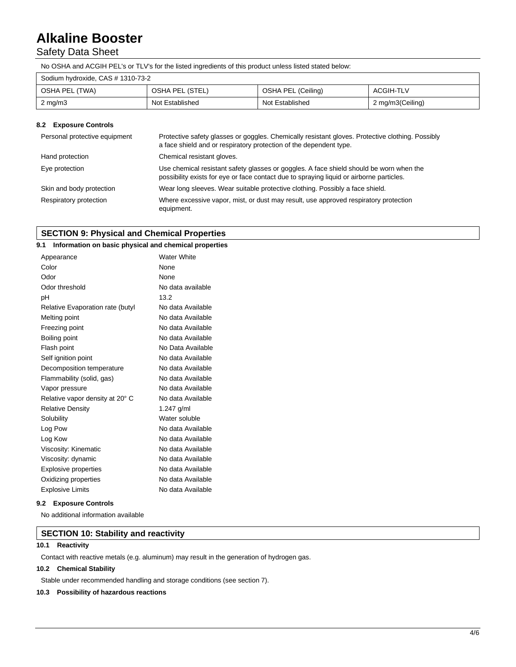# Safety Data Sheet

No OSHA and ACGIH PEL's or TLV's for the listed ingredients of this product unless listed stated below:

| Sodium hydroxide, CAS # 1310-73-2 |                 |                    |                  |
|-----------------------------------|-----------------|--------------------|------------------|
| OSHA PEL (TWA)                    | OSHA PEL (STEL) | OSHA PEL (Ceiling) | ACGIH-TLV        |
| $2 \text{ mg/m}$                  | Not Established | Not Established    | 2 mg/m3(Ceiling) |

### **8.2 Exposure Controls**

| Personal protective equipment | Protective safety glasses or goggles. Chemically resistant gloves. Protective clothing. Possibly<br>a face shield and or respiratory protection of the dependent type.              |  |
|-------------------------------|-------------------------------------------------------------------------------------------------------------------------------------------------------------------------------------|--|
| Hand protection               | Chemical resistant gloves.                                                                                                                                                          |  |
| Eye protection                | Use chemical resistant safety glasses or goggles. A face shield should be worn when the<br>possibility exists for eye or face contact due to spraying liquid or airborne particles. |  |
| Skin and body protection      | Wear long sleeves. Wear suitable protective clothing. Possibly a face shield.                                                                                                       |  |
| Respiratory protection        | Where excessive vapor, mist, or dust may result, use approved respiratory protection<br>equipment.                                                                                  |  |

# **SECTION 9: Physical and Chemical Properties**

| 9.1                              | Information on basic physical and chemical properties |
|----------------------------------|-------------------------------------------------------|
| Appearance                       |                                                       |
| Color                            |                                                       |
| Odor                             |                                                       |
| Odor threshold                   |                                                       |
| pH                               |                                                       |
| Relative Evaporation rate (butyl |                                                       |
| Melting point                    | No data Available                                     |
| Freezing point                   | No data Available                                     |
| Boiling point                    | No data Available                                     |
| Flash point                      | No Data Available                                     |
| Self ignition point              | No data Available                                     |
| Decomposition temperature        | No data Available                                     |
| Flammability (solid, gas)        | No data Available                                     |
| Vapor pressure                   | No data Available                                     |
| Relative vapor density at 20° C  | No data Available                                     |
| <b>Relative Density</b>          | 1.247 $g/ml$                                          |
| Solubility                       | Water soluble                                         |
| Log Pow                          | No data Available                                     |
| Log Kow                          | No data Available                                     |
| Viscosity: Kinematic             | No data Available                                     |
| Viscosity: dynamic               | No data Available                                     |
| <b>Explosive properties</b>      | No data Available                                     |
| Oxidizing properties             | No data Available                                     |
| <b>Explosive Limits</b>          | No data Available                                     |
|                                  |                                                       |

### **9.2 Exposure Controls**

No additional information available

## **SECTION 10: Stability and reactivity**

### **10.1 Reactivity**

Contact with reactive metals (e.g. aluminum) may result in the generation of hydrogen gas.

### **10.2 Chemical Stability**

Stable under recommended handling and storage conditions (see section 7).

### **10.3 Possibility of hazardous reactions**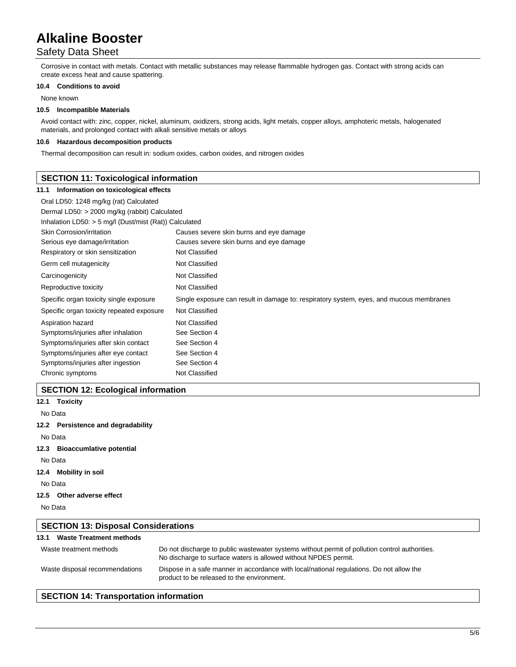# Safety Data Sheet

Corrosive in contact with metals. Contact with metallic substances may release flammable hydrogen gas. Contact with strong acids can create excess heat and cause spattering.

#### **10.4 Conditions to avoid**

None known

#### **10.5 Incompatible Materials**

Avoid contact with: zinc, copper, nickel, aluminum, oxidizers, strong acids, light metals, copper alloys, amphoteric metals, halogenated materials, and prolonged contact with alkali sensitive metals or alloys

#### **10.6 Hazardous decomposition products**

Thermal decomposition can result in: sodium oxides, carbon oxides, and nitrogen oxides

# **SECTION 11: Toxicological information 11.1 Information on toxicological effects** Oral LD50: 1248 mg/kg (rat) Calculated Dermal LD50: > 2000 mg/kg (rabbit) Calculated Inhalation LD50: > 5 mg/l (Dust/mist (Rat)) Calculated Skin Corrosion/irritation **Causes severe skin burns and eye damage** Serious eye damage/irritation Causes severe skin burns and eye damage Respiratory or skin sensitization Not Classified Germ cell mutagenicity Not Classified Carcinogenicity Not Classified Reproductive toxicity Not Classified Specific organ toxicity single exposure Single exposure can result in damage to: respiratory system, eyes, and mucous membranes Specific organ toxicity repeated exposure Not Classified Aspiration hazard Not Classified Symptoms/injuries after inhalation See Section 4 Symptoms/injuries after skin contact See Section 4 Symptoms/injuries after eye contact See Section 4 Symptoms/injuries after ingestion See Section 4 Chronic symptoms Not Classified

## **SECTION 12: Ecological information**

**12.1 Toxicity**

No Data

#### **12.2 Persistence and degradability**

No Data

**12.3 Bioaccumlative potential**

No Data

**12.4 Mobility in soil**

No Data

**12.5 Other adverse effect**

No Data

| <b>SECTION 13: Disposal Considerations</b> |                                                                                                                                                                   |  |
|--------------------------------------------|-------------------------------------------------------------------------------------------------------------------------------------------------------------------|--|
| <b>Waste Treatment methods</b><br>13.1     |                                                                                                                                                                   |  |
| Waste treatment methods                    | Do not discharge to public wastewater systems without permit of pollution control authorities.<br>No discharge to surface waters is allowed without NPDES permit. |  |
| Waste disposal recommendations             | Dispose in a safe manner in accordance with local/national regulations. Do not allow the<br>product to be released to the environment.                            |  |

# **SECTION 14: Transportation information**